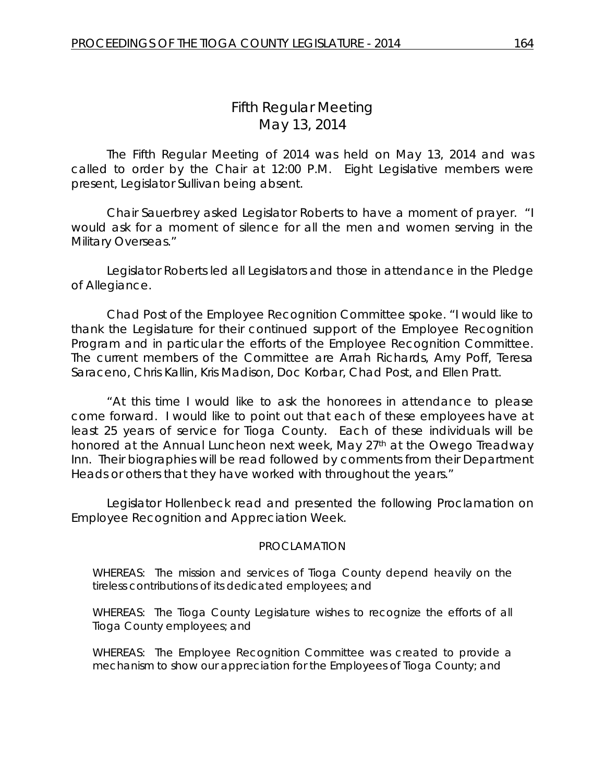# *Fifth Regular Meeting* May 13, 2014

The Fifth Regular Meeting of 2014 was held on May 13, 2014 and was called to order by the Chair at 12:00 P.M. Eight Legislative members were present, Legislator Sullivan being absent.

Chair Sauerbrey asked Legislator Roberts to have a moment of prayer. "I would ask for a moment of silence for all the men and women serving in the Military Overseas."

Legislator Roberts led all Legislators and those in attendance in the Pledge of Allegiance.

Chad Post of the Employee Recognition Committee spoke. "I would like to thank the Legislature for their continued support of the Employee Recognition Program and in particular the efforts of the Employee Recognition Committee. The current members of the Committee are Arrah Richards, Amy Poff, Teresa Saraceno, Chris Kallin, Kris Madison, Doc Korbar, Chad Post, and Ellen Pratt.

"At this time I would like to ask the honorees in attendance to please come forward. I would like to point out that each of these employees have at least 25 years of service for Tioga County. Each of these individuals will be honored at the Annual Luncheon next week, May 27<sup>th</sup> at the Owego Treadway Inn. Their biographies will be read followed by comments from their Department Heads or others that they have worked with throughout the years."

Legislator Hollenbeck read and presented the following Proclamation on Employee Recognition and Appreciation Week.

#### PROCLAMATION

WHEREAS: The mission and services of Tioga County depend heavily on the tireless contributions of its dedicated employees; and

WHEREAS: The Tioga County Legislature wishes to recognize the efforts of all Tioga County employees; and

WHEREAS: The Employee Recognition Committee was created to provide a mechanism to show our appreciation for the Employees of Tioga County; and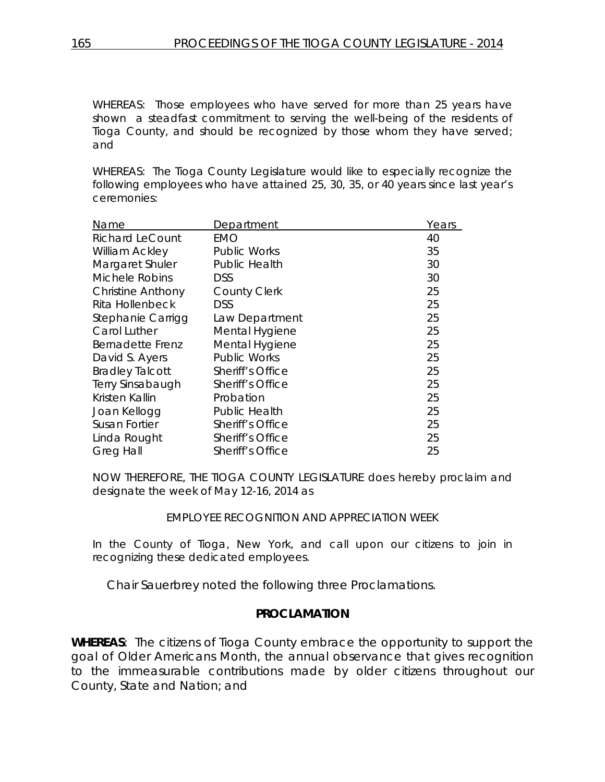WHEREAS: Those employees who have served for more than 25 years have shown a steadfast commitment to serving the well-being of the residents of Tioga County, and should be recognized by those whom they have served; and

WHEREAS: The Tioga County Legislature would like to especially recognize the following employees who have attained 25, 30, 35, or 40 years since last year's ceremonies:

| Name                     | Department              | Years |
|--------------------------|-------------------------|-------|
| Richard LeCount          | EMO                     | 40    |
| <b>William Ackley</b>    | <b>Public Works</b>     | 35    |
| Margaret Shuler          | <b>Public Health</b>    | 30    |
| Michele Robins           | <b>DSS</b>              | 30    |
| <b>Christine Anthony</b> | <b>County Clerk</b>     | 25    |
| Rita Hollenbeck          | <b>DSS</b>              | 25    |
| Stephanie Carrigg        | Law Department          | 25    |
| Carol Luther             | Mental Hygiene          | 25    |
| Bernadette Frenz         | Mental Hygiene          | 25    |
| David S. Ayers           | <b>Public Works</b>     | 25    |
| <b>Bradley Talcott</b>   | Sheriff's Office        | 25    |
| Terry Sinsabaugh         | Sheriff's Office        | 25    |
| Kristen Kallin           | Probation               | 25    |
| Joan Kellogg             | <b>Public Health</b>    | 25    |
| <b>Susan Fortier</b>     | Sheriff's Office        | 25    |
| Linda Rought             | Sheriff's Office        | 25    |
| <b>Greg Hall</b>         | <b>Sheriff's Office</b> | 25    |

NOW THEREFORE, THE TIOGA COUNTY LEGISLATURE does hereby proclaim and designate the week of May 12-16, 2014 as

### EMPLOYEE RECOGNITION AND APPRECIATION WEEK

In the County of Tioga, New York, and call upon our citizens to join in recognizing these dedicated employees.

Chair Sauerbrey noted the following three Proclamations.

### **PROCLAMATION**

**WHEREAS**: The citizens of Tioga County embrace the opportunity to support the goal of Older Americans Month, the annual observance that gives recognition to the immeasurable contributions made by older citizens throughout our County, State and Nation; and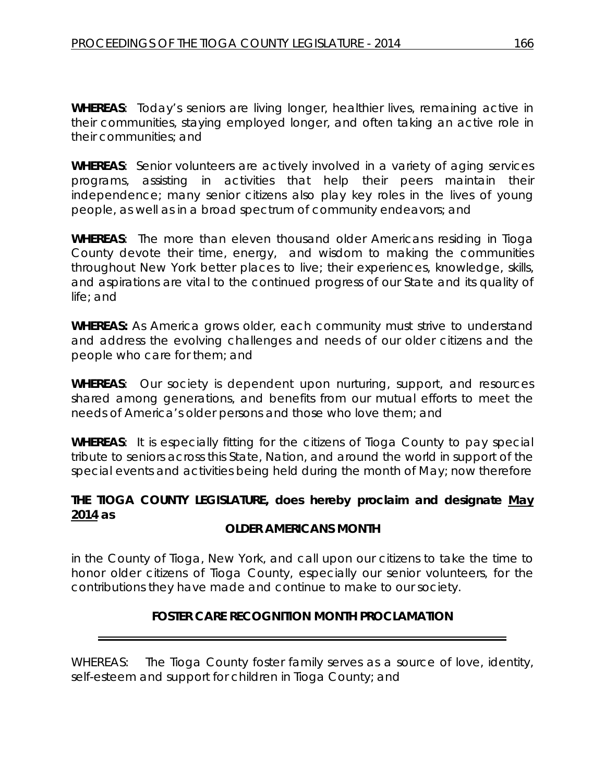**WHEREAS**: Today's seniors are living longer, healthier lives, remaining active in their communities, staying employed longer, and often taking an active role in their communities; and

**WHEREAS**: Senior volunteers are actively involved in a variety of aging services programs, assisting in activities that help their peers maintain their independence; many senior citizens also play key roles in the lives of young people, as well as in a broad spectrum of community endeavors; and

**WHEREAS**: The more than eleven thousand older Americans residing in Tioga County devote their time, energy, and wisdom to making the communities throughout New York better places to live; their experiences, knowledge, skills, and aspirations are vital to the continued progress of our State and its quality of life; and

**WHEREAS:** As America grows older, each community must strive to understand and address the evolving challenges and needs of our older citizens and the people who care for them; and

**WHEREAS**: Our society is dependent upon nurturing, support, and resources shared among generations, and benefits from our mutual efforts to meet the needs of America's older persons and those who love them; and

**WHEREAS**: It is especially fitting for the citizens of Tioga County to pay special tribute to seniors across this State, Nation, and around the world in support of the special events and activities being held during the month of May; now therefore

# **THE TIOGA COUNTY LEGISLATURE, does hereby proclaim and designate May 2014 as**

# *OLDER AMERICANS MONTH*

in the County of Tioga, New York, and call upon our citizens to take the time to honor older citizens of Tioga County, especially our senior volunteers, for the contributions they have made and continue to make to our society.

# **FOSTER CARE RECOGNITION MONTH PROCLAMATION**

WHEREAS: The Tioga County foster family serves as a source of love, identity, self-esteem and support for children in Tioga County; and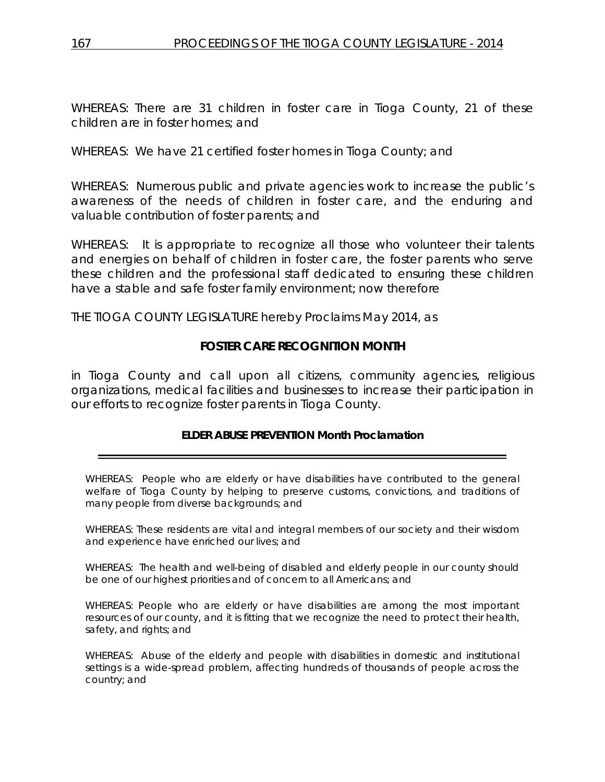WHEREAS: There are 31 children in foster care in Tioga County, 21 of these children are in foster homes; and

WHEREAS: We have 21 certified foster homes in Tioga County; and

WHEREAS: Numerous public and private agencies work to increase the public's awareness of the needs of children in foster care, and the enduring and valuable contribution of foster parents; and

WHEREAS: It is appropriate to recognize all those who volunteer their talents and energies on behalf of children in foster care, the foster parents who serve these children and the professional staff dedicated to ensuring these children have a stable and safe foster family environment; now therefore

THE TIOGA COUNTY LEGISLATURE hereby Proclaims May 2014, as

# **FOSTER CARE RECOGNITION MONTH**

in Tioga County and call upon all citizens, community agencies, religious organizations, medical facilities and businesses to increase their participation in our efforts to recognize foster parents in Tioga County.

### **ELDER ABUSE PREVENTION Month Proclamation**

WHEREAS: People who are elderly or have disabilities have contributed to the general welfare of Tioga County by helping to preserve customs, convictions, and traditions of many people from diverse backgrounds; and

WHEREAS: These residents are vital and integral members of our society and their wisdom and experience have enriched our lives; and

WHEREAS: The health and well-being of disabled and elderly people in our county should be one of our highest priorities and of concern to all Americans; and

WHEREAS: People who are elderly or have disabilities are among the most important resources of our county, and it is fitting that we recognize the need to protect their health, safety, and rights; and

WHEREAS: Abuse of the elderly and people with disabilities in domestic and institutional settings is a wide-spread problem, affecting hundreds of thousands of people across the country; and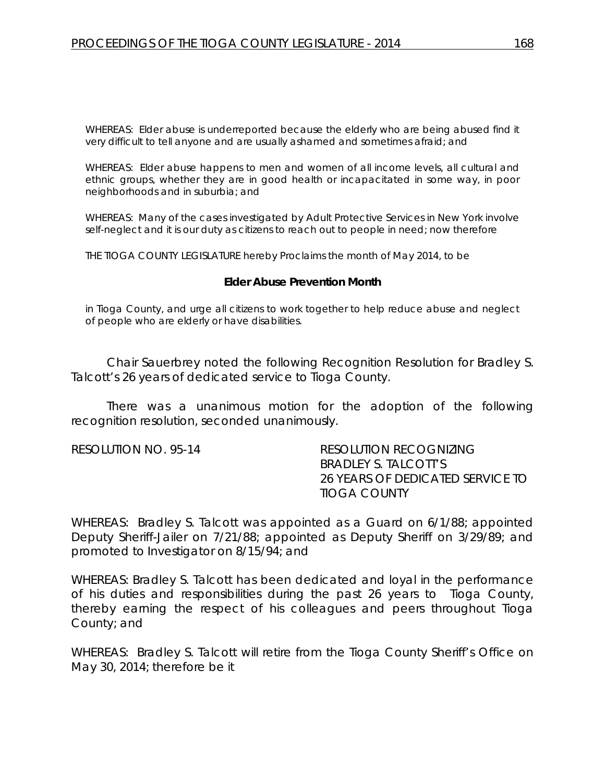WHEREAS: Elder abuse is underreported because the elderly who are being abused find it very difficult to tell anyone and are usually ashamed and sometimes afraid; and

WHEREAS: Elder abuse happens to men and women of all income levels, all cultural and ethnic groups, whether they are in good health or incapacitated in some way, in poor neighborhoods and in suburbia; and

WHEREAS: Many of the cases investigated by Adult Protective Services in New York involve self-neglect and it is our duty as citizens to reach out to people in need; now therefore

THE TIOGA COUNTY LEGISLATURE hereby Proclaims the month of May 2014, to be

#### **Elder Abuse Prevention Month**

in Tioga County, and urge all citizens to work together to help reduce abuse and neglect of people who are elderly or have disabilities.

Chair Sauerbrey noted the following Recognition Resolution for Bradley S. Talcott's 26 years of dedicated service to Tioga County.

There was a unanimous motion for the adoption of the following recognition resolution, seconded unanimously.

RESOLUTION NO. 95-14 *RESOLUTION RECOGNIZING BRADLEY S. TALCOTT'S 26 YEARS OF DEDICATED SERVICE TO TIOGA COUNTY*

WHEREAS: Bradley S. Talcott was appointed as a Guard on 6/1/88; appointed Deputy Sheriff-Jailer on 7/21/88; appointed as Deputy Sheriff on 3/29/89; and promoted to Investigator on 8/15/94; and

WHEREAS: Bradley S. Talcott has been dedicated and loyal in the performance of his duties and responsibilities during the past 26 years to Tioga County, thereby earning the respect of his colleagues and peers throughout Tioga County; and

WHEREAS: Bradley S. Talcott will retire from the Tioga County Sheriff's Office on May 30, 2014; therefore be it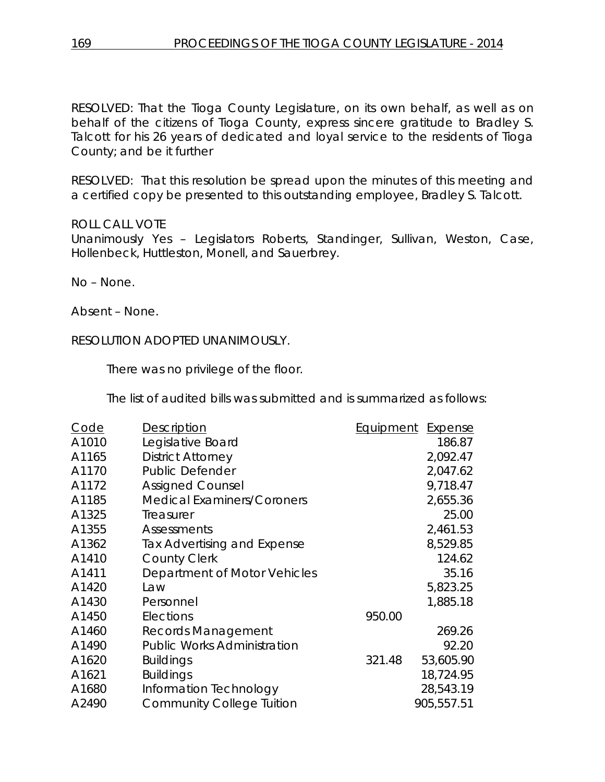RESOLVED: That the Tioga County Legislature, on its own behalf, as well as on behalf of the citizens of Tioga County, express sincere gratitude to Bradley S. Talcott for his 26 years of dedicated and loyal service to the residents of Tioga County; and be it further

RESOLVED: That this resolution be spread upon the minutes of this meeting and a certified copy be presented to this outstanding employee, Bradley S. Talcott.

## ROLL CALL VOTE

Unanimously Yes – Legislators Roberts, Standinger, Sullivan, Weston, Case, Hollenbeck, Huttleston, Monell, and Sauerbrey.

No – None.

Absent – None.

## RESOLUTION ADOPTED UNANIMOUSLY.

There was no privilege of the floor.

The list of audited bills was submitted and is summarized as follows:

| Code  | Description                        | Equipment | Expense    |
|-------|------------------------------------|-----------|------------|
| A1010 | Legislative Board                  |           | 186.87     |
| A1165 | <b>District Attorney</b>           |           | 2,092.47   |
| A1170 | <b>Public Defender</b>             |           | 2,047.62   |
| A1172 | <b>Assigned Counsel</b>            |           | 9,718.47   |
| A1185 | <b>Medical Examiners/Coroners</b>  |           | 2,655.36   |
| A1325 | Treasurer                          |           | 25.00      |
| A1355 | <b>Assessments</b>                 |           | 2,461.53   |
| A1362 | Tax Advertising and Expense        |           | 8,529.85   |
| A1410 | <b>County Clerk</b>                |           | 124.62     |
| A1411 | Department of Motor Vehicles       |           | 35.16      |
| A1420 | Law                                |           | 5,823.25   |
| A1430 | Personnel                          |           | 1,885.18   |
| A1450 | Elections                          | 950.00    |            |
| A1460 | Records Management                 |           | 269.26     |
| A1490 | <b>Public Works Administration</b> |           | 92.20      |
| A1620 | <b>Buildings</b>                   | 321.48    | 53,605.90  |
| A1621 | <b>Buildings</b>                   |           | 18,724.95  |
| A1680 | Information Technology             |           | 28,543.19  |
| A2490 | <b>Community College Tuition</b>   |           | 905,557.51 |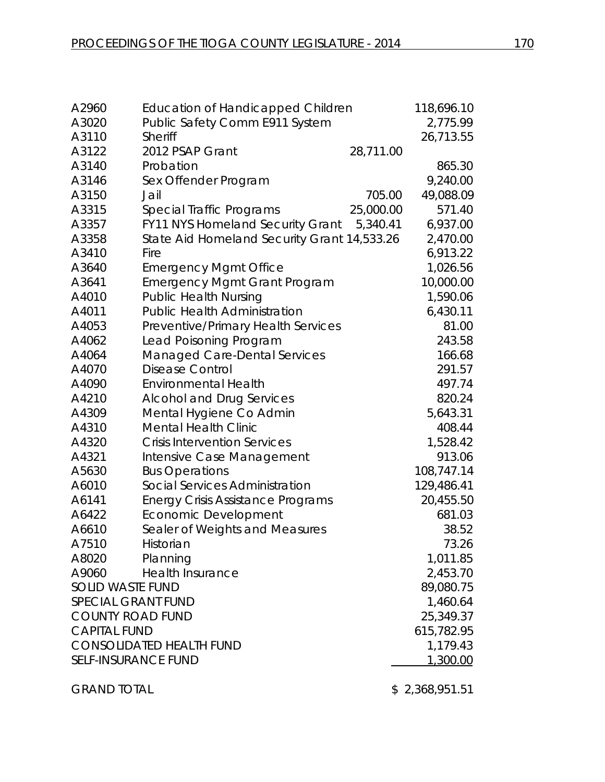| A2960                      | <b>Education of Handicapped Children</b>    |           | 118,696.10 |
|----------------------------|---------------------------------------------|-----------|------------|
| A3020                      | Public Safety Comm E911 System              |           | 2,775.99   |
| A3110                      | <b>Sheriff</b>                              |           | 26,713.55  |
| A3122                      | 2012 PSAP Grant                             | 28,711.00 |            |
| A3140                      | Probation                                   |           | 865.30     |
| A3146                      | Sex Offender Program                        |           | 9,240.00   |
| A3150                      | Jail                                        | 705.00    | 49,088.09  |
| A3315                      | Special Traffic Programs                    | 25,000.00 | 571.40     |
| A3357                      | <b>FY11 NYS Homeland Security Grant</b>     | 5,340.41  | 6,937.00   |
| A3358                      | State Aid Homeland Security Grant 14,533.26 |           | 2,470.00   |
| A3410                      | Fire                                        |           | 6,913.22   |
| A3640                      | <b>Emergency Mgmt Office</b>                |           | 1,026.56   |
| A3641                      | <b>Emergency Mgmt Grant Program</b>         |           | 10,000.00  |
| A4010                      | <b>Public Health Nursing</b>                |           | 1,590.06   |
| A4011                      | <b>Public Health Administration</b>         |           | 6,430.11   |
| A4053                      | Preventive/Primary Health Services          |           | 81.00      |
| A4062                      | Lead Poisoning Program                      |           | 243.58     |
| A4064                      | <b>Managed Care-Dental Services</b>         |           | 166.68     |
| A4070                      | Disease Control                             |           | 291.57     |
| A4090                      | <b>Environmental Health</b>                 |           | 497.74     |
| A4210                      | <b>Alcohol and Drug Services</b>            |           | 820.24     |
| A4309                      | Mental Hygiene Co Admin                     |           | 5,643.31   |
| A4310                      | <b>Mental Health Clinic</b>                 |           | 408.44     |
| A4320                      | <b>Crisis Intervention Services</b>         |           | 1,528.42   |
| A4321                      | Intensive Case Management                   |           | 913.06     |
| A5630                      | <b>Bus Operations</b>                       |           | 108,747.14 |
| A6010                      | Social Services Administration              |           | 129,486.41 |
| A6141                      | <b>Energy Crisis Assistance Programs</b>    |           | 20,455.50  |
| A6422                      | Economic Development                        |           | 681.03     |
| A6610                      | Sealer of Weights and Measures              |           | 38.52      |
| A7510                      | Historian                                   |           | 73.26      |
| A8020                      | Planning                                    |           | 1,011.85   |
| A9060                      | <b>Health Insurance</b>                     |           | 2,453.70   |
| <b>SOLID WASTE FUND</b>    |                                             |           | 89,080.75  |
| <b>SPECIAL GRANT FUND</b>  |                                             |           | 1,460.64   |
| <b>COUNTY ROAD FUND</b>    |                                             |           | 25,349.37  |
| <b>CAPITAL FUND</b>        |                                             |           | 615,782.95 |
|                            | <b>CONSOLIDATED HEALTH FUND</b>             |           | 1,179.43   |
| <b>SELF-INSURANCE FUND</b> |                                             |           | 1,300.00   |
|                            |                                             |           |            |

GRAND TOTAL \$2,368,951.51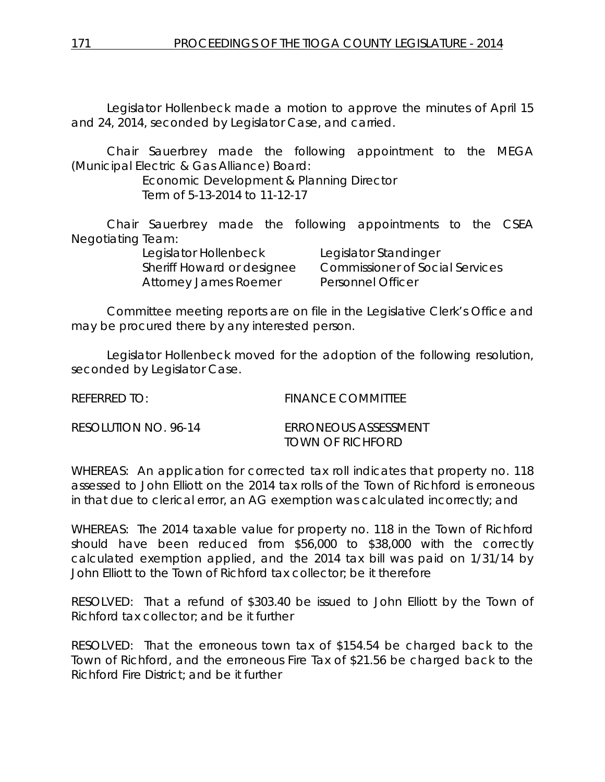Legislator Hollenbeck made a motion to approve the minutes of April 15 and 24, 2014, seconded by Legislator Case, and carried.

Chair Sauerbrey made the following appointment to the MEGA (Municipal Electric & Gas Alliance) Board:

> Economic Development & Planning Director Term of 5-13-2014 to 11-12-17

Chair Sauerbrey made the following appointments to the CSEA Negotiating Team:

> Legislator Hollenbeck Legislator Standinger Sheriff Howard or designee Commissioner of Social Services Attorney James Roemer Personnel Officer

Committee meeting reports are on file in the Legislative Clerk's Office and may be procured there by any interested person.

Legislator Hollenbeck moved for the adoption of the following resolution, seconded by Legislator Case.

| REFERRED TO:         | <b>FINANCE COMMITTEE</b>                 |
|----------------------|------------------------------------------|
| RESOLUTION NO. 96-14 | FRRONEOUS ASSESSMENT<br>TOWN OF RICHFORD |

WHEREAS: An application for corrected tax roll indicates that property no. 118 assessed to John Elliott on the 2014 tax rolls of the Town of Richford is erroneous in that due to clerical error, an AG exemption was calculated incorrectly; and

WHEREAS: The 2014 taxable value for property no. 118 in the Town of Richford should have been reduced from \$56,000 to \$38,000 with the correctly calculated exemption applied, and the 2014 tax bill was paid on 1/31/14 by John Elliott to the Town of Richford tax collector; be it therefore

RESOLVED: That a refund of \$303.40 be issued to John Elliott by the Town of Richford tax collector; and be it further

RESOLVED: That the erroneous town tax of \$154.54 be charged back to the Town of Richford, and the erroneous Fire Tax of \$21.56 be charged back to the Richford Fire District; and be it further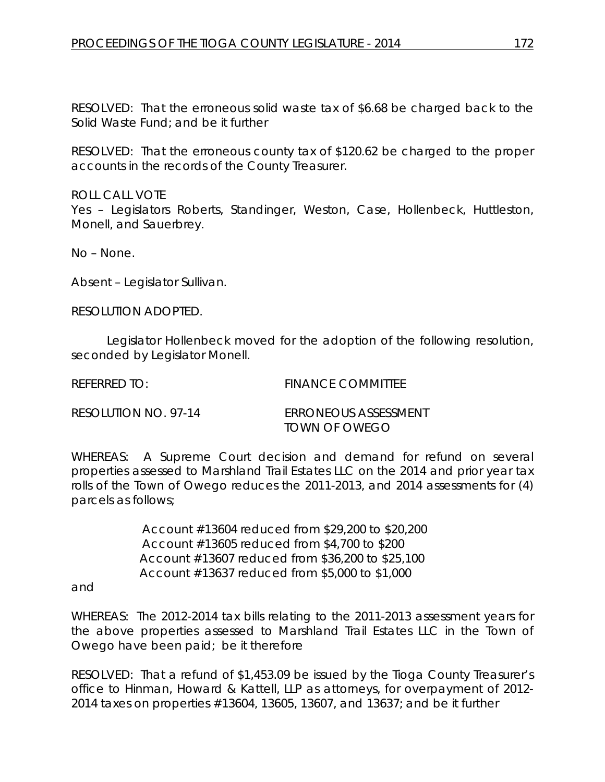RESOLVED: That the erroneous solid waste tax of \$6.68 be charged back to the Solid Waste Fund; and be it further

RESOLVED: That the erroneous county tax of \$120.62 be charged to the proper accounts in the records of the County Treasurer.

ROLL CALL VOTE Yes – Legislators Roberts, Standinger, Weston, Case, Hollenbeck, Huttleston, Monell, and Sauerbrey.

No – None.

Absent – Legislator Sullivan.

RESOLUTION ADOPTED.

Legislator Hollenbeck moved for the adoption of the following resolution, seconded by Legislator Monell.

REFERRED TO: FINANCE COMMITTEE

| RESOLUTION NO. 97-14 | <b>ERRONEOUS ASSESSMENT</b> |
|----------------------|-----------------------------|
|                      | TOWN OF OWEGO               |

WHEREAS: A Supreme Court decision and demand for refund on several properties assessed to Marshland Trail Estates LLC on the 2014 and prior year tax rolls of the Town of Owego reduces the 2011-2013, and 2014 assessments for (4) parcels as follows;

> Account #13604 reduced from \$29,200 to \$20,200 Account #13605 reduced from \$4,700 to \$200 Account #13607 reduced from \$36,200 to \$25,100 Account #13637 reduced from \$5,000 to \$1,000

and

WHEREAS: The 2012-2014 tax bills relating to the 2011-2013 assessment years for the above properties assessed to Marshland Trail Estates LLC in the Town of Owego have been paid; be it therefore

RESOLVED: That a refund of \$1,453.09 be issued by the Tioga County Treasurer's office to Hinman, Howard & Kattell, LLP as attorneys, for overpayment of 2012- 2014 taxes on properties #13604, 13605, 13607, and 13637; and be it further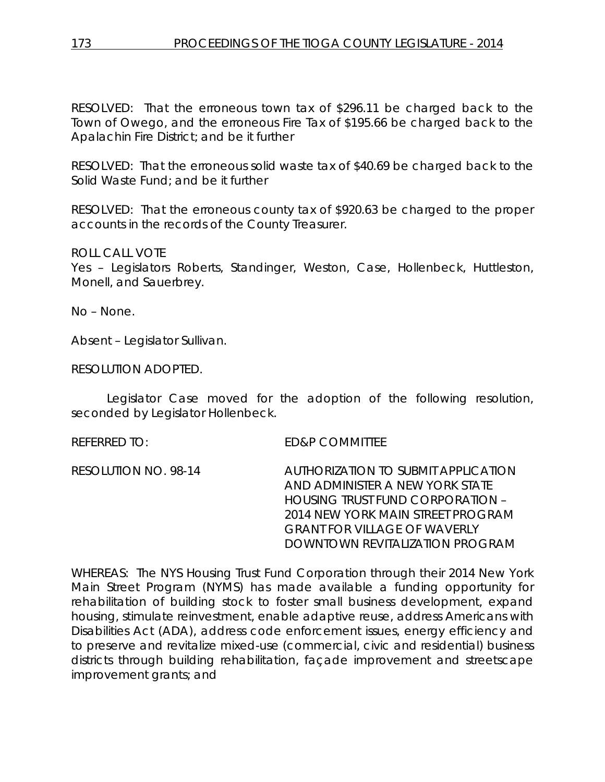RESOLVED: That the erroneous town tax of \$296.11 be charged back to the Town of Owego, and the erroneous Fire Tax of \$195.66 be charged back to the Apalachin Fire District; and be it further

RESOLVED: That the erroneous solid waste tax of \$40.69 be charged back to the Solid Waste Fund; and be it further

RESOLVED: That the erroneous county tax of \$920.63 be charged to the proper accounts in the records of the County Treasurer.

ROLL CALL VOTE

Yes – Legislators Roberts, Standinger, Weston, Case, Hollenbeck, Huttleston, Monell, and Sauerbrey.

No – None.

Absent – Legislator Sullivan.

RESOLUTION ADOPTED.

Legislator Case moved for the adoption of the following resolution, seconded by Legislator Hollenbeck.

REFERRED TO: ED&P COMMITTEE

RESOLUTION NO. 98-14 *AUTHORIZATION TO SUBMIT APPLICATION AND ADMINISTER A NEW YORK STATE HOUSING TRUST FUND CORPORATION – 2014 NEW YORK MAIN STREET PROGRAM GRANT FOR VILLAGE OF WAVERLY DOWNTOWN REVITALIZATION PROGRAM*

WHEREAS: The NYS Housing Trust Fund Corporation through their 2014 New York Main Street Program (NYMS) has made available a funding opportunity for rehabilitation of building stock to foster small business development, expand housing, stimulate reinvestment, enable adaptive reuse, address Americans with Disabilities Act (ADA), address code enforcement issues, energy efficiency and to preserve and revitalize mixed-use (commercial, civic and residential) business districts through building rehabilitation, façade improvement and streetscape improvement grants; and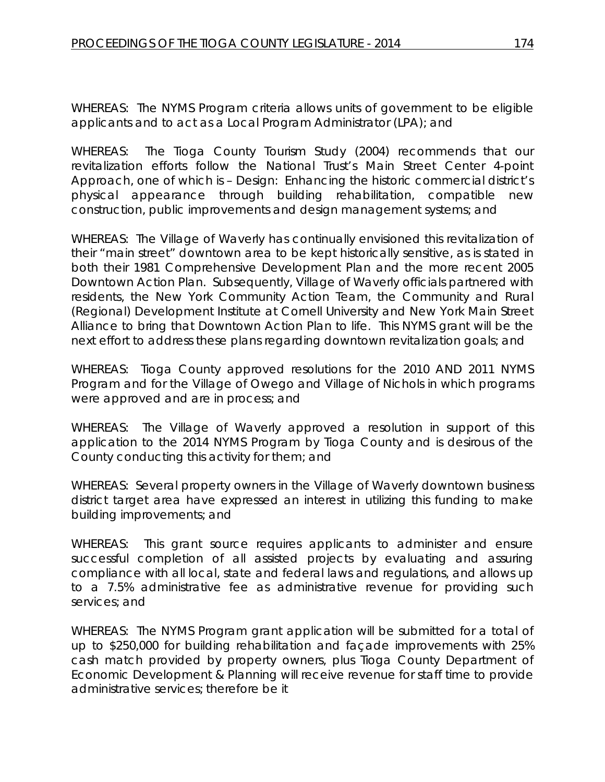WHEREAS: The NYMS Program criteria allows units of government to be eligible applicants and to act as a Local Program Administrator (LPA); and

WHEREAS: The Tioga County Tourism Study (2004) recommends that our revitalization efforts follow the National Trust's Main Street Center 4-point Approach, one of which is – Design: Enhancing the historic commercial district's physical appearance through building rehabilitation, compatible new construction, public improvements and design management systems; and

WHEREAS: The Village of Waverly has continually envisioned this revitalization of their "main street" downtown area to be kept historically sensitive, as is stated in both their 1981 Comprehensive Development Plan and the more recent 2005 Downtown Action Plan. Subsequently, Village of Waverly officials partnered with residents, the New York Community Action Team, the Community and Rural (Regional) Development Institute at Cornell University and New York Main Street Alliance to bring that Downtown Action Plan to life. This NYMS grant will be the next effort to address these plans regarding downtown revitalization goals; and

WHEREAS: Tioga County approved resolutions for the 2010 AND 2011 NYMS Program and for the Village of Owego and Village of Nichols in which programs were approved and are in process; and

WHEREAS: The Village of Waverly approved a resolution in support of this application to the 2014 NYMS Program by Tioga County and is desirous of the County conducting this activity for them; and

WHEREAS: Several property owners in the Village of Waverly downtown business district target area have expressed an interest in utilizing this funding to make building improvements; and

WHEREAS: This grant source requires applicants to administer and ensure successful completion of all assisted projects by evaluating and assuring compliance with all local, state and federal laws and regulations, and allows up to a 7.5% administrative fee as administrative revenue for providing such services; and

WHEREAS: The NYMS Program grant application will be submitted for a total of up to \$250,000 for building rehabilitation and façade improvements with 25% cash match provided by property owners, plus Tioga County Department of Economic Development & Planning will receive revenue for staff time to provide administrative services; therefore be it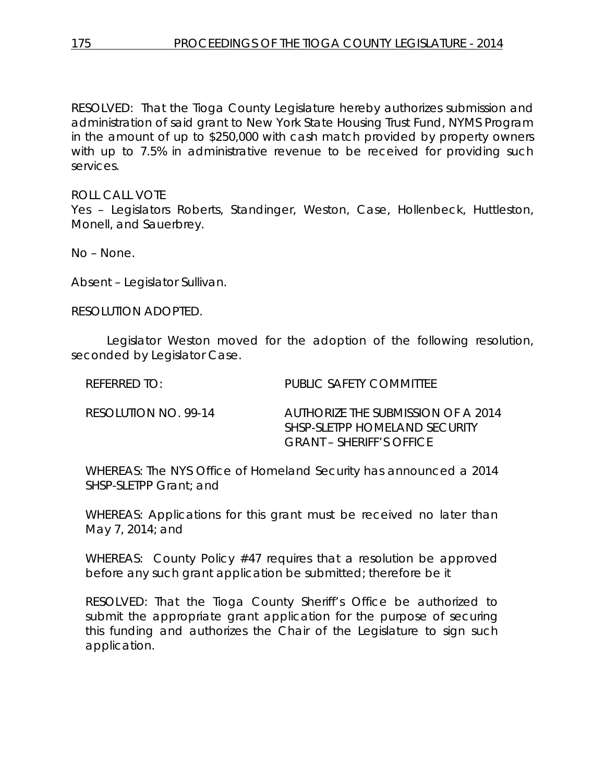RESOLVED: That the Tioga County Legislature hereby authorizes submission and administration of said grant to New York State Housing Trust Fund, NYMS Program in the amount of up to \$250,000 with cash match provided by property owners with up to 7.5% in administrative revenue to be received for providing such services.

ROLL CALL VOTE Yes – Legislators Roberts, Standinger, Weston, Case, Hollenbeck, Huttleston, Monell, and Sauerbrey.

No – None.

Absent – Legislator Sullivan.

RESOLUTION ADOPTED.

Legislator Weston moved for the adoption of the following resolution, seconded by Legislator Case.

| REFERRED TO:         | PUBLIC SAFETY COMMITTEE                                                                         |
|----------------------|-------------------------------------------------------------------------------------------------|
| RESOLUTION NO. 99-14 | AUTHORIZE THE SUBMISSION OF A 2014<br>SHSP-SLETPP HOMELAND SECURITY<br>GRANT – SHERIFF'S OFFICE |

WHEREAS: The NYS Office of Homeland Security has announced a 2014 SHSP-SLETPP Grant; and

WHEREAS: Applications for this grant must be received no later than May 7, 2014; and

WHEREAS: County Policy #47 requires that a resolution be approved before any such grant application be submitted; therefore be it

RESOLVED: That the Tioga County Sheriff's Office be authorized to submit the appropriate grant application for the purpose of securing this funding and authorizes the Chair of the Legislature to sign such application.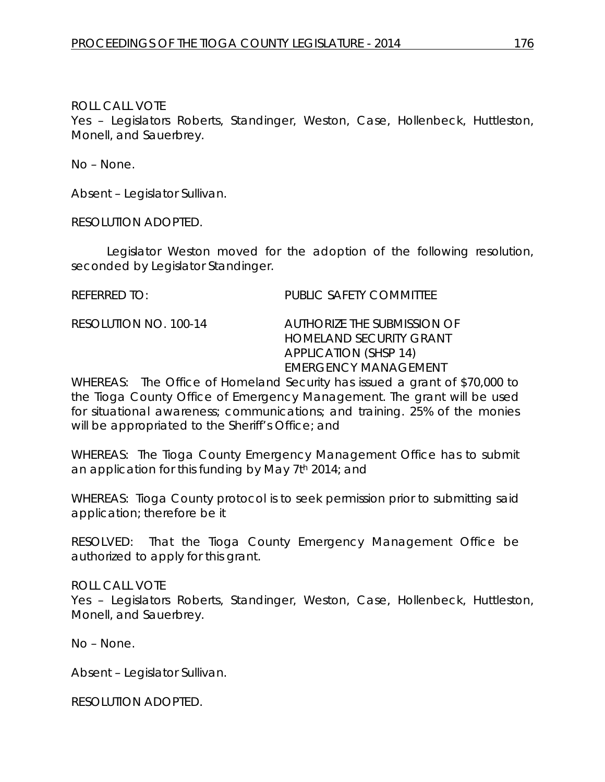Yes – Legislators Roberts, Standinger, Weston, Case, Hollenbeck, Huttleston, Monell, and Sauerbrey.

No – None.

Absent – Legislator Sullivan.

RESOLUTION ADOPTED.

Legislator Weston moved for the adoption of the following resolution, seconded by Legislator Standinger.

REFERRED TO: PUBLIC SAFETY COMMITTEE

RESOLUTION NO. 100-14 *AUTHORIZE THE SUBMISSION OF HOMELAND SECURITY GRANT APPLICATION (SHSP 14) EMERGENCY MANAGEMENT*

WHEREAS: The Office of Homeland Security has issued a grant of \$70,000 to the Tioga County Office of Emergency Management. The grant will be used for situational awareness; communications; and training. 25% of the monies will be appropriated to the Sheriff's Office; and

WHEREAS: The Tioga County Emergency Management Office has to submit an application for this funding by May 7th 2014; and

WHEREAS: Tioga County protocol is to seek permission prior to submitting said application; therefore be it

RESOLVED: That the Tioga County Emergency Management Office be authorized to apply for this grant.

ROLL CALL VOTE

Yes – Legislators Roberts, Standinger, Weston, Case, Hollenbeck, Huttleston, Monell, and Sauerbrey.

No – None.

Absent – Legislator Sullivan.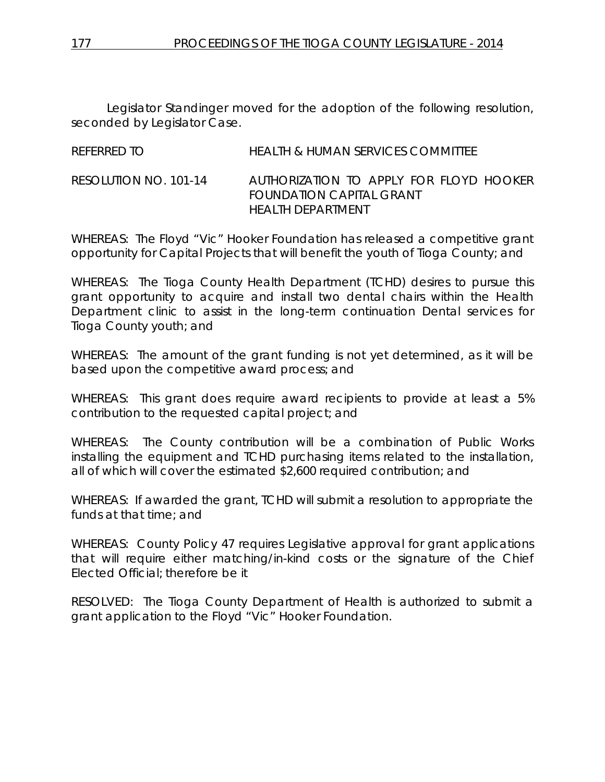Legislator Standinger moved for the adoption of the following resolution, seconded by Legislator Case.

| REFERRED TO           | HEALTH & HUMAN SERVICES COMMITTEE                                                         |
|-----------------------|-------------------------------------------------------------------------------------------|
| RESOLUTION NO. 101-14 | AUTHORIZATION TO APPLY FOR FLOYD HOOKER<br>FOUNDATION CAPITAL GRANT<br>HEAI TH DEPARTMENT |

WHEREAS: The Floyd "Vic" Hooker Foundation has released a competitive grant opportunity for Capital Projects that will benefit the youth of Tioga County; and

WHEREAS: The Tioga County Health Department (TCHD) desires to pursue this grant opportunity to acquire and install two dental chairs within the Health Department clinic to assist in the long-term continuation Dental services for Tioga County youth; and

WHEREAS: The amount of the grant funding is not yet determined, as it will be based upon the competitive award process; and

WHEREAS: This grant does require award recipients to provide at least a 5% contribution to the requested capital project; and

WHEREAS: The County contribution will be a combination of Public Works installing the equipment and TCHD purchasing items related to the installation, all of which will cover the estimated \$2,600 required contribution; and

WHEREAS: If awarded the grant, TCHD will submit a resolution to appropriate the funds at that time; and

WHEREAS: County Policy 47 requires Legislative approval for grant applications that will require either matching/in-kind costs or the signature of the Chief Elected Official; therefore be it

RESOLVED: The Tioga County Department of Health is authorized to submit a grant application to the Floyd "Vic" Hooker Foundation.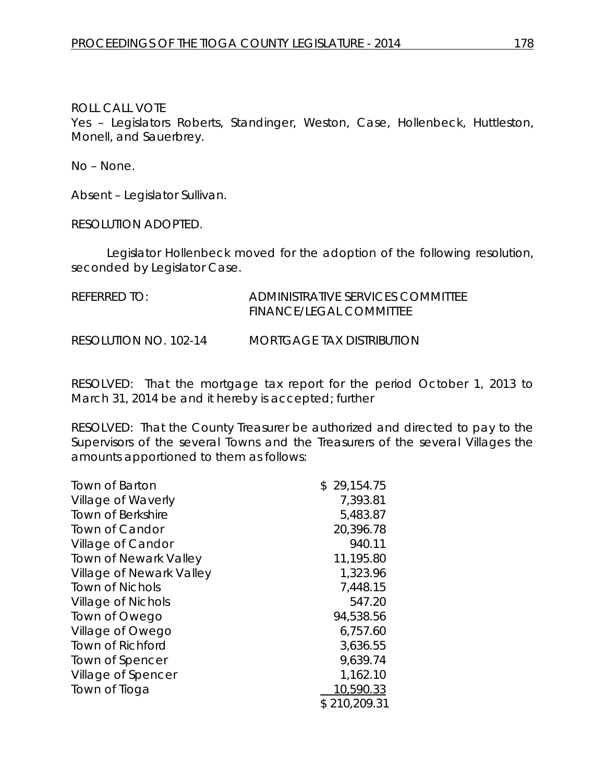Yes - Legislators Roberts, Standinger, Weston, Case, Hollenbeck, Huttleston, Monell, and Sauerbrey.

No – None.

Absent – Legislator Sullivan.

RESOLUTION ADOPTED.

Legislator Hollenbeck moved for the adoption of the following resolution, seconded by Legislator Case.

| REFERRED TO:          | ADMINISTRATIVE SERVICES COMMITTEE<br>FINANCE/LEGAL COMMITTEE |
|-----------------------|--------------------------------------------------------------|
| RESOLUTION NO. 102-14 | <b>MORTGAGE TAX DISTRIBUTION</b>                             |

RESOLVED: That the mortgage tax report for the period October 1, 2013 to March 31, 2014 be and it hereby is accepted; further

RESOLVED: That the County Treasurer be authorized and directed to pay to the Supervisors of the several Towns and the Treasurers of the several Villages the amounts apportioned to them as follows:

| \$29,154.75  |
|--------------|
| 7,393.81     |
| 5,483.87     |
| 20,396.78    |
| 940.11       |
| 11,195.80    |
| 1,323.96     |
| 7,448.15     |
| 547.20       |
| 94,538.56    |
| 6,757.60     |
| 3,636.55     |
| 9,639.74     |
| 1,162.10     |
| 10,590.33    |
| \$210,209.31 |
|              |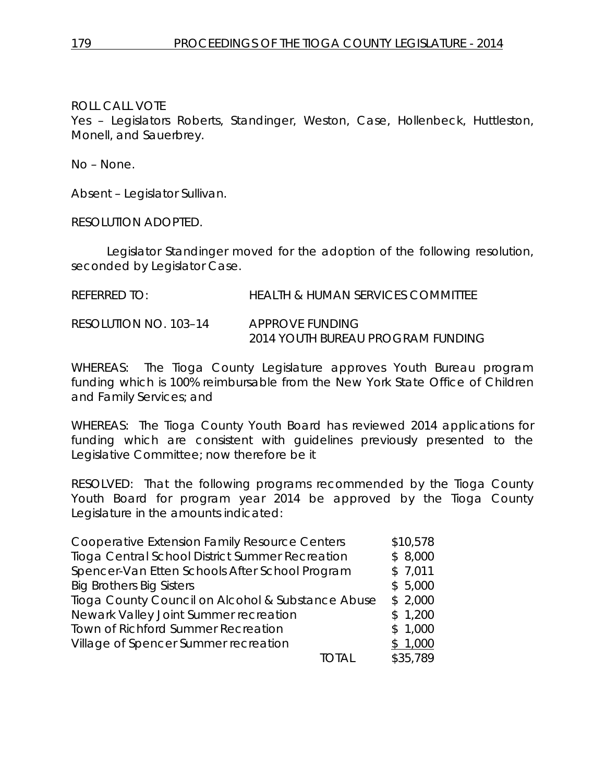Yes – Legislators Roberts, Standinger, Weston, Case, Hollenbeck, Huttleston, Monell, and Sauerbrey.

No – None.

Absent – Legislator Sullivan.

RESOLUTION ADOPTED.

Legislator Standinger moved for the adoption of the following resolution, seconded by Legislator Case.

| referred to:          | HEALTH & HUMAN SERVICES COMMITTEE |
|-----------------------|-----------------------------------|
| RESOLUTION NO. 103–14 | APPROVE FUNDING                   |

*2014 YOUTH BUREAU PROGRAM FUNDING*

WHEREAS: The Tioga County Legislature approves Youth Bureau program funding which is 100% reimbursable from the New York State Office of Children and Family Services; and

WHEREAS: The Tioga County Youth Board has reviewed 2014 applications for funding which are consistent with guidelines previously presented to the Legislative Committee; now therefore be it

RESOLVED: That the following programs recommended by the Tioga County Youth Board for program year 2014 be approved by the Tioga County Legislature in the amounts indicated:

| <b>Cooperative Extension Family Resource Centers</b> | \$10,578 |
|------------------------------------------------------|----------|
| Tioga Central School District Summer Recreation      | \$8,000  |
| Spencer-Van Etten Schools After School Program       | \$7,011  |
| <b>Big Brothers Big Sisters</b>                      | \$5,000  |
| Tioga County Council on Alcohol & Substance Abuse    | \$2,000  |
| Newark Valley Joint Summer recreation                | \$1,200  |
| Town of Richford Summer Recreation                   | \$1,000  |
| Village of Spencer Summer recreation                 | \$1,000  |
|                                                      | \$35,789 |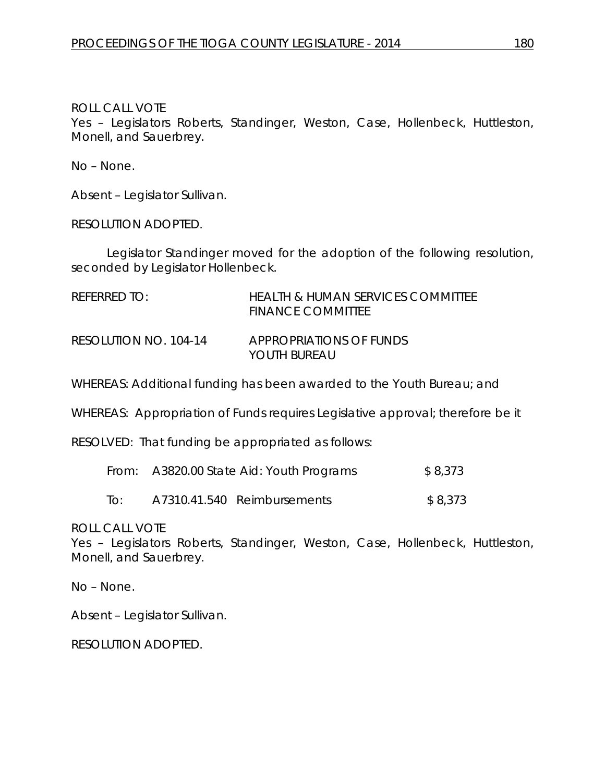Yes – Legislators Roberts, Standinger, Weston, Case, Hollenbeck, Huttleston, Monell, and Sauerbrey.

No – None.

Absent – Legislator Sullivan.

RESOLUTION ADOPTED.

Legislator Standinger moved for the adoption of the following resolution, seconded by Legislator Hollenbeck.

| REFERRED TO:          | <b>HEALTH &amp; HUMAN SERVICES COMMITTEE</b><br><b>FINANCE COMMITTEE</b> |
|-----------------------|--------------------------------------------------------------------------|
| RESOLUTION NO. 104-14 | APPROPRIATIONS OF FUNDS<br>YOUTH BURFAU                                  |

WHEREAS: Additional funding has been awarded to the Youth Bureau; and

WHEREAS: Appropriation of Funds requires Legislative approval; therefore be it

RESOLVED: That funding be appropriated as follows:

|     | From: A3820.00 State Aid: Youth Programs | \$8,373                     |         |
|-----|------------------------------------------|-----------------------------|---------|
| To: |                                          | A7310.41.540 Reimbursements | \$8,373 |

ROLL CALL VOTE

Yes – Legislators Roberts, Standinger, Weston, Case, Hollenbeck, Huttleston, Monell, and Sauerbrey.

No – None.

Absent – Legislator Sullivan.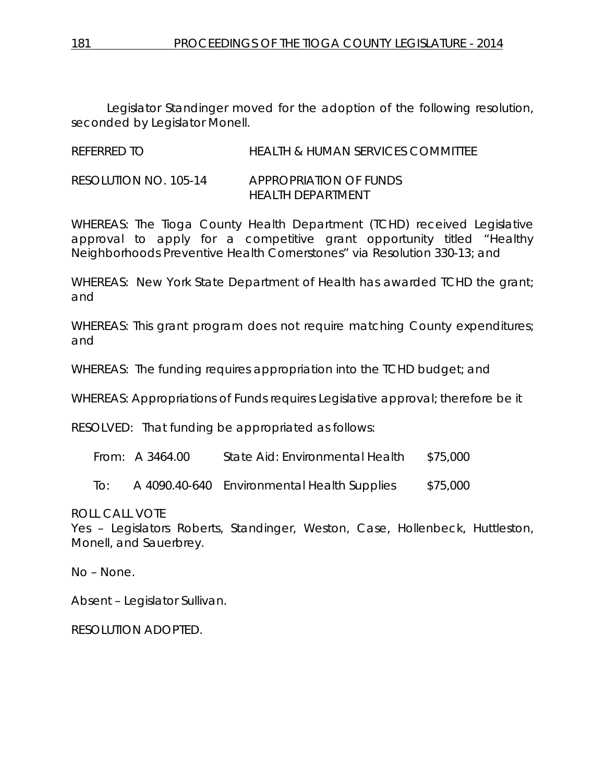Legislator Standinger moved for the adoption of the following resolution, seconded by Legislator Monell.

REFERRED TO HEALTH & HUMAN SERVICES COMMITTEE

RESOLUTION NO. 105-14 *APPROPRIATION OF FUNDS HEALTH DEPARTMENT*

WHEREAS: The Tioga County Health Department (TCHD) received Legislative approval to apply for a competitive grant opportunity titled "Healthy Neighborhoods Preventive Health Cornerstones" via Resolution 330-13; and

WHEREAS: New York State Department of Health has awarded TCHD the grant; and

WHEREAS: This grant program does not require matching County expenditures; and

WHEREAS: The funding requires appropriation into the TCHD budget; and

WHEREAS: Appropriations of Funds requires Legislative approval; therefore be it

RESOLVED: That funding be appropriated as follows:

From: A 3464.00 State Aid: Environmental Health \$75,000

To: A 4090.40-640 Environmental Health Supplies \$75,000

ROLL CALL VOTE

Yes – Legislators Roberts, Standinger, Weston, Case, Hollenbeck, Huttleston, Monell, and Sauerbrey.

No – None.

Absent – Legislator Sullivan.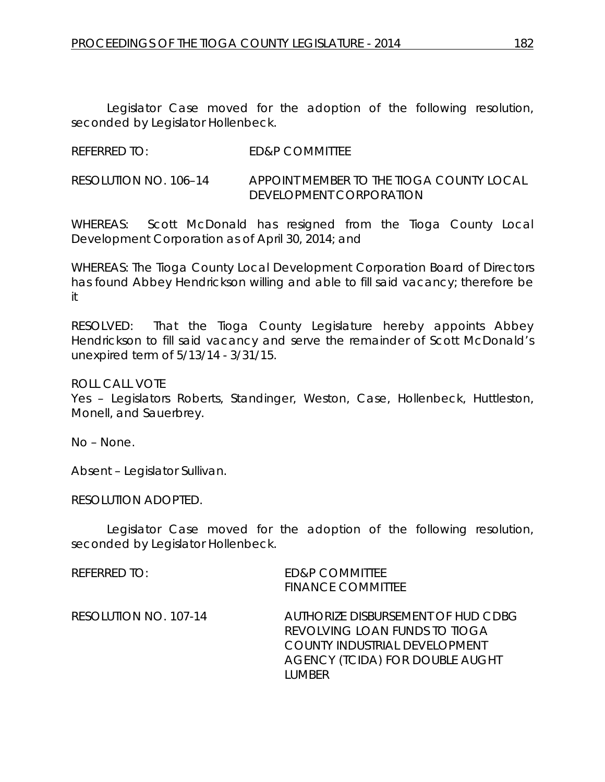Legislator Case moved for the adoption of the following resolution, seconded by Legislator Hollenbeck.

REFERRED TO: ED&P COMMITTEE

RESOLUTION NO. 106–14 *APPOINT MEMBER TO THE TIOGA COUNTY LOCAL DEVELOPMENT CORPORATION*

WHEREAS: Scott McDonald has resigned from the Tioga County Local Development Corporation as of April 30, 2014; and

WHEREAS: The Tioga County Local Development Corporation Board of Directors has found Abbey Hendrickson willing and able to fill said vacancy; therefore be it

RESOLVED: That the Tioga County Legislature hereby appoints Abbey Hendrickson to fill said vacancy and serve the remainder of Scott McDonald's unexpired term of 5/13/14 - 3/31/15.

ROLL CALL VOTE

Yes – Legislators Roberts, Standinger, Weston, Case, Hollenbeck, Huttleston, Monell, and Sauerbrey.

No – None.

Absent – Legislator Sullivan.

RESOLUTION ADOPTED.

Legislator Case moved for the adoption of the following resolution, seconded by Legislator Hollenbeck.

REFERRED TO: ED&P COMMITTEE FINANCE COMMITTEE

RESOLUTION NO. 107-14 *AUTHORIZE DISBURSEMENT OF HUD CDBG REVOLVING LOAN FUNDS TO TIOGA COUNTY INDUSTRIAL DEVELOPMENT AGENCY (TCIDA) FOR DOUBLE AUGHT LUMBER*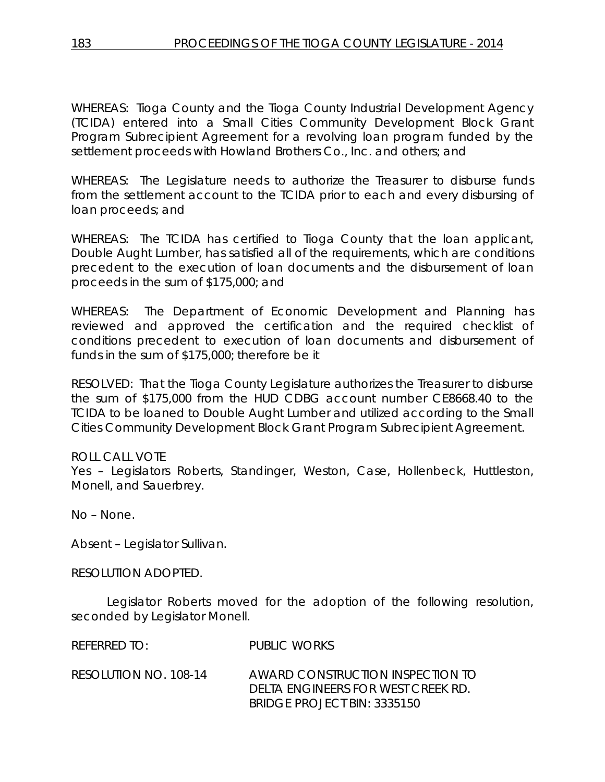WHEREAS: Tioga County and the Tioga County Industrial Development Agency (TCIDA) entered into a Small Cities Community Development Block Grant Program Subrecipient Agreement for a revolving loan program funded by the settlement proceeds with Howland Brothers Co., Inc. and others; and

WHEREAS: The Legislature needs to authorize the Treasurer to disburse funds from the settlement account to the TCIDA prior to each and every disbursing of loan proceeds; and

WHEREAS: The TCIDA has certified to Tioga County that the loan applicant, Double Aught Lumber, has satisfied all of the requirements, which are conditions precedent to the execution of loan documents and the disbursement of loan proceeds in the sum of \$175,000; and

WHEREAS: The Department of Economic Development and Planning has reviewed and approved the certification and the required checklist of conditions precedent to execution of loan documents and disbursement of funds in the sum of \$175,000; therefore be it

RESOLVED: That the Tioga County Legislature authorizes the Treasurer to disburse the sum of \$175,000 from the HUD CDBG account number CE8668.40 to the TCIDA to be loaned to Double Aught Lumber and utilized according to the Small Cities Community Development Block Grant Program Subrecipient Agreement.

# ROLL CALL VOTE

Yes – Legislators Roberts, Standinger, Weston, Case, Hollenbeck, Huttleston, Monell, and Sauerbrey.

No – None.

Absent – Legislator Sullivan.

RESOLUTION ADOPTED.

Legislator Roberts moved for the adoption of the following resolution, seconded by Legislator Monell.

REFERRED TO: PUBLIC WORKS

RESOLUTION NO. 108-14 *AWARD CONSTRUCTION INSPECTION TO DELTA ENGINEERS FOR WEST CREEK RD. BRIDGE PROJECT BIN: 3335150*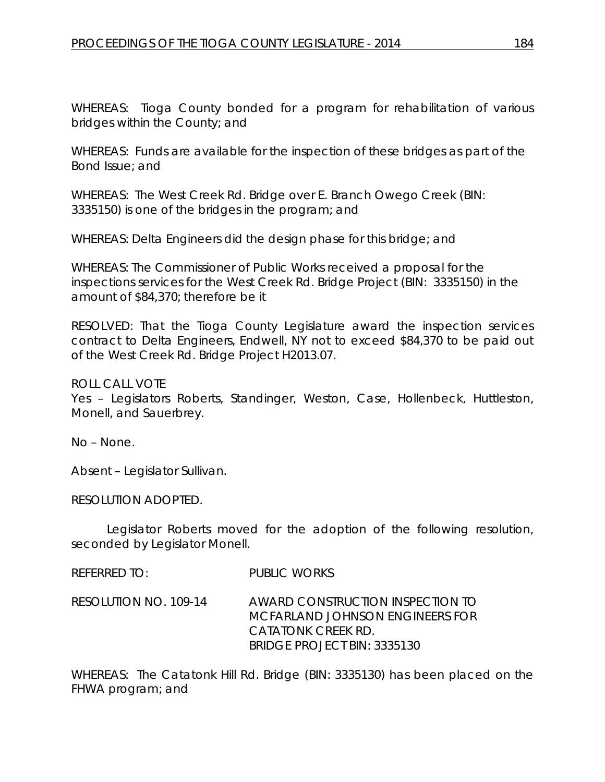WHEREAS: Tioga County bonded for a program for rehabilitation of various bridges within the County; and

WHEREAS: Funds are available for the inspection of these bridges as part of the Bond Issue; and

WHEREAS: The West Creek Rd. Bridge over E. Branch Owego Creek (BIN: 3335150) is one of the bridges in the program; and

WHEREAS: Delta Engineers did the design phase for this bridge; and

WHEREAS: The Commissioner of Public Works received a proposal for the inspections services for the West Creek Rd. Bridge Project (BIN: 3335150) in the amount of \$84,370; therefore be it

RESOLVED: That the Tioga County Legislature award the inspection services contract to Delta Engineers, Endwell, NY not to exceed \$84,370 to be paid out of the West Creek Rd. Bridge Project H2013.07.

ROLL CALL VOTE

Yes – Legislators Roberts, Standinger, Weston, Case, Hollenbeck, Huttleston, Monell, and Sauerbrey.

No – None.

Absent – Legislator Sullivan.

RESOLUTION ADOPTED.

Legislator Roberts moved for the adoption of the following resolution, seconded by Legislator Monell.

REFERRED TO: PUBLIC WORKS

RESOLUTION NO. 109-14 *AWARD CONSTRUCTION INSPECTION TO MCFARLAND JOHNSON ENGINEERS FOR CATATONK CREEK RD. BRIDGE PROJECT BIN: 3335130*

WHEREAS: The Catatonk Hill Rd. Bridge (BIN: 3335130) has been placed on the FHWA program; and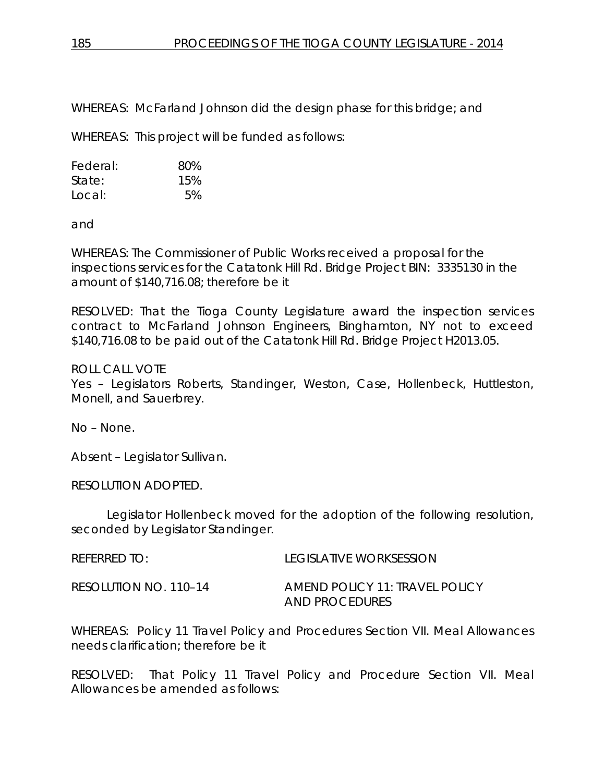WHEREAS: McFarland Johnson did the design phase for this bridge; and

WHEREAS: This project will be funded as follows:

| Federal: | 80% |
|----------|-----|
| State:   | 15% |
| Local:   | 5%  |

and

WHEREAS: The Commissioner of Public Works received a proposal for the inspections services for the Catatonk Hill Rd. Bridge Project BIN: 3335130 in the amount of \$140,716.08; therefore be it

RESOLVED: That the Tioga County Legislature award the inspection services contract to McFarland Johnson Engineers, Binghamton, NY not to exceed \$140,716.08 to be paid out of the Catatonk Hill Rd. Bridge Project H2013.05.

### ROLL CALL VOTE

Yes – Legislators Roberts, Standinger, Weston, Case, Hollenbeck, Huttleston, Monell, and Sauerbrey.

No – None.

Absent – Legislator Sullivan.

RESOLUTION ADOPTED.

Legislator Hollenbeck moved for the adoption of the following resolution, seconded by Legislator Standinger.

REFERRED TO: LEGISLATIVE WORKSESSION

RESOLUTION NO. 110–14 *AMEND POLICY 11: TRAVEL POLICY AND PROCEDURES*

WHEREAS: Policy 11 Travel Policy and Procedures Section VII. Meal Allowances needs clarification; therefore be it

RESOLVED: That Policy 11 Travel Policy and Procedure Section VII. Meal Allowances be amended as follows: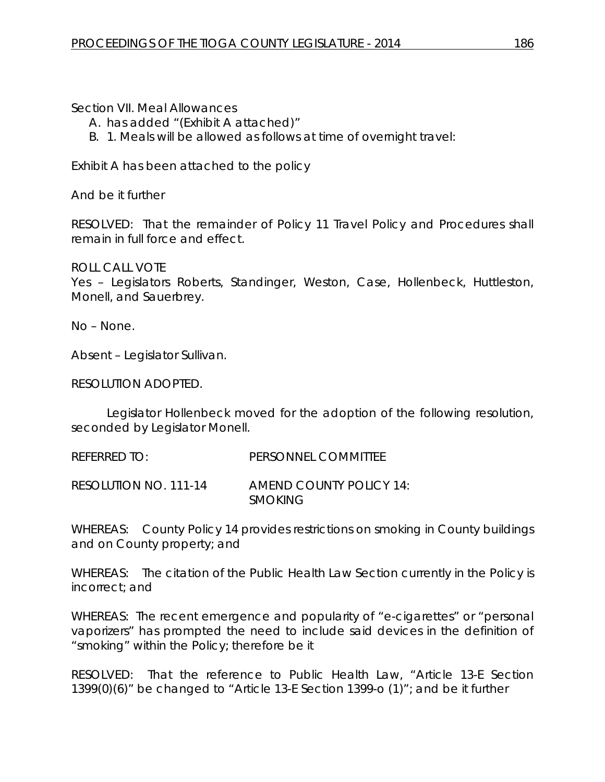Section VII. Meal Allowances

- A. has added "(Exhibit A attached)"
- B. 1. Meals will be allowed as follows at time of overnight travel:

Exhibit A has been attached to the policy

And be it further

RESOLVED: That the remainder of Policy 11 Travel Policy and Procedures shall remain in full force and effect.

ROLL CALL VOTE Yes – Legislators Roberts, Standinger, Weston, Case, Hollenbeck, Huttleston, Monell, and Sauerbrey.

No – None.

Absent – Legislator Sullivan.

RESOLUTION ADOPTED.

Legislator Hollenbeck moved for the adoption of the following resolution, seconded by Legislator Monell.

REFERRED TO: PERSONNEL COMMITTEE

RESOLUTION NO. 111-14 *AMEND COUNTY POLICY 14: SMOKING*

WHEREAS: County Policy 14 provides restrictions on smoking in County buildings and on County property; and

WHEREAS: The citation of the Public Health Law Section currently in the Policy is incorrect; and

WHEREAS: The recent emergence and popularity of "e-cigarettes" or "personal vaporizers" has prompted the need to include said devices in the definition of "smoking" within the Policy; therefore be it

RESOLVED: That the reference to Public Health Law, "Article 13-E Section 1399(0)(6)" be changed to "Article 13-E Section 1399-o (1)"; and be it further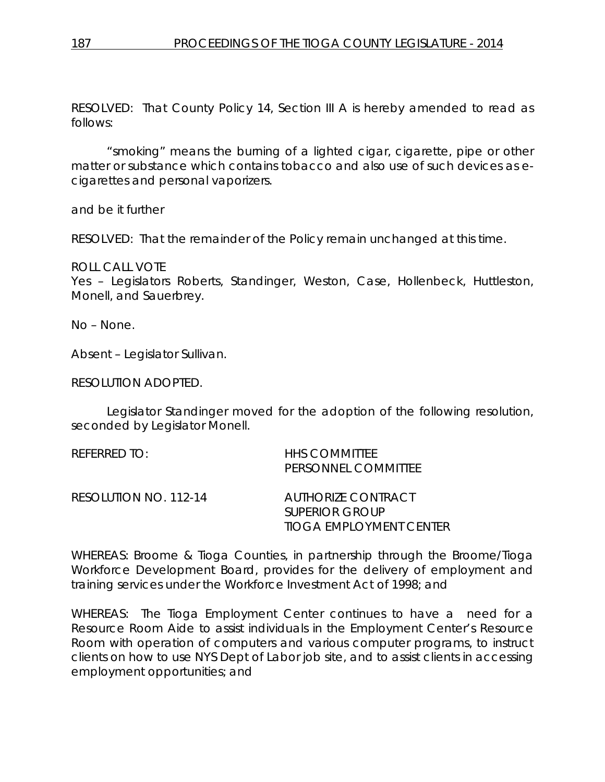RESOLVED: That County Policy 14, Section III A is hereby amended to read as follows:

"smoking" means the burning of a lighted cigar, cigarette, pipe or other matter or substance which contains tobacco and also use of such devices as ecigarettes and personal vaporizers.

and be it further

RESOLVED: That the remainder of the Policy remain unchanged at this time.

ROLL CALL VOTE

Yes – Legislators Roberts, Standinger, Weston, Case, Hollenbeck, Huttleston, Monell, and Sauerbrey.

No – None.

Absent – Legislator Sullivan.

RESOLUTION ADOPTED.

Legislator Standinger moved for the adoption of the following resolution, seconded by Legislator Monell.

| referred to:          | <b>HHS COMMITTEE</b><br>PERSONNEL COMMITTEE                            |
|-----------------------|------------------------------------------------------------------------|
| RESOLUTION NO. 112-14 | AUTHORIZE CONTRACT<br><b>SUPERIOR GROUP</b><br>TIOGA EMPLOYMENT CENTER |

WHEREAS: Broome & Tioga Counties, in partnership through the Broome/Tioga Workforce Development Board, provides for the delivery of employment and training services under the Workforce Investment Act of 1998; and

WHEREAS: The Tioga Employment Center continues to have a need for a Resource Room Aide to assist individuals in the Employment Center's Resource Room with operation of computers and various computer programs, to instruct clients on how to use NYS Dept of Labor job site, and to assist clients in accessing employment opportunities; and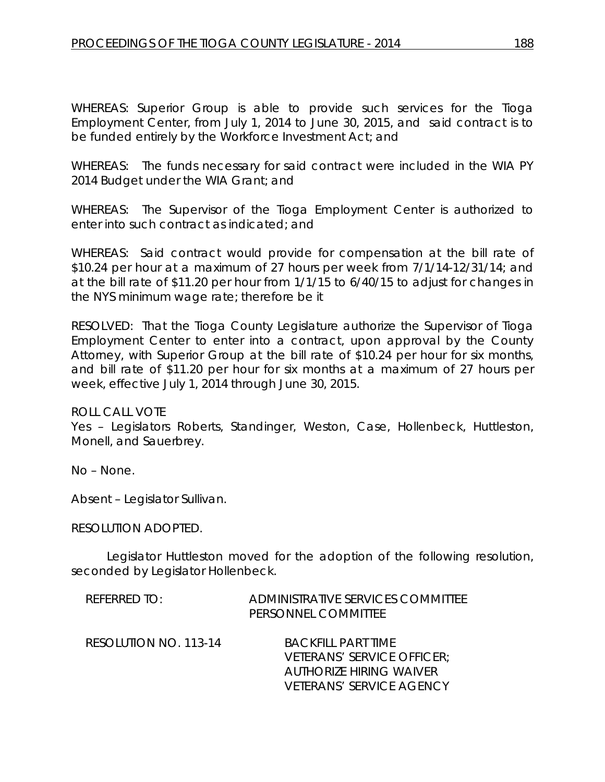WHEREAS: Superior Group is able to provide such services for the Tioga Employment Center, from July 1, 2014 to June 30, 2015, and said contract is to be funded entirely by the Workforce Investment Act; and

WHEREAS: The funds necessary for said contract were included in the WIA PY 2014 Budget under the WIA Grant; and

WHEREAS: The Supervisor of the Tioga Employment Center is authorized to enter into such contract as indicated; and

WHEREAS: Said contract would provide for compensation at the bill rate of \$10.24 per hour at a maximum of 27 hours per week from 7/1/14-12/31/14; and at the bill rate of \$11.20 per hour from 1/1/15 to 6/40/15 to adjust for changes in the NYS minimum wage rate; therefore be it

RESOLVED: That the Tioga County Legislature authorize the Supervisor of Tioga Employment Center to enter into a contract, upon approval by the County Attorney, with Superior Group at the bill rate of \$10.24 per hour for six months, and bill rate of \$11.20 per hour for six months at a maximum of 27 hours per week, effective July 1, 2014 through June 30, 2015.

ROLL CALL VOTE

Yes – Legislators Roberts, Standinger, Weston, Case, Hollenbeck, Huttleston, Monell, and Sauerbrey.

No – None.

Absent – Legislator Sullivan.

### RESOLUTION ADOPTED.

Legislator Huttleston moved for the adoption of the following resolution, seconded by Legislator Hollenbeck.

| REFERRED TO:          | ADMINISTRATIVE SERVICES COMMITTEE<br>PERSONNEL COMMITTEE                                                                     |  |  |
|-----------------------|------------------------------------------------------------------------------------------------------------------------------|--|--|
| RESOLUTION NO. 113-14 | <b>BACKFILL PART TIME</b><br><i>VETERANS' SERVICE OFFICER:</i><br>AUTHORIZE HIRING WAIVER<br><b>VETERANS' SERVICE AGENCY</b> |  |  |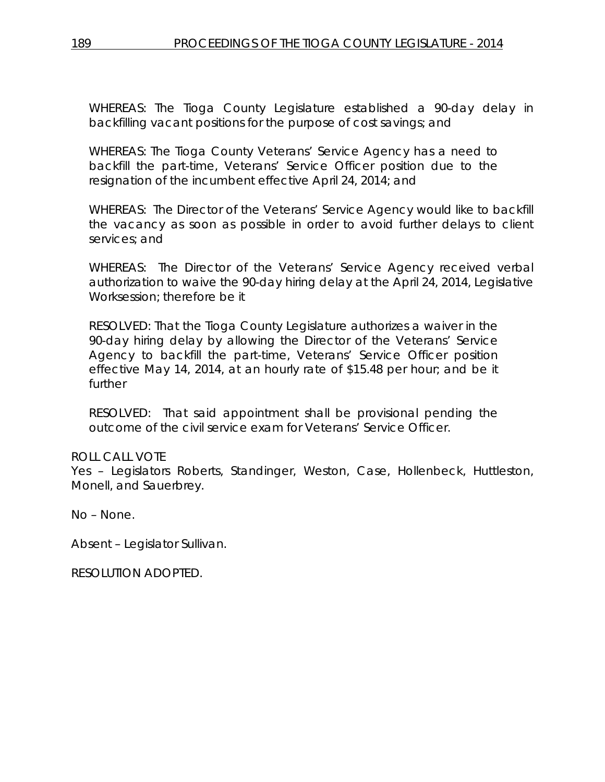WHEREAS: The Tioga County Legislature established a 90-day delay in backfilling vacant positions for the purpose of cost savings; and

WHEREAS: The Tioga County Veterans' Service Agency has a need to backfill the part-time, Veterans' Service Officer position due to the resignation of the incumbent effective April 24, 2014; and

WHEREAS: The Director of the Veterans' Service Agency would like to backfill the vacancy as soon as possible in order to avoid further delays to client services; and

WHEREAS: The Director of the Veterans' Service Agency received verbal authorization to waive the 90-day hiring delay at the April 24, 2014, Legislative Worksession; therefore be it

RESOLVED: That the Tioga County Legislature authorizes a waiver in the 90-day hiring delay by allowing the Director of the Veterans' Service Agency to backfill the part-time, Veterans' Service Officer position effective May 14, 2014, at an hourly rate of \$15.48 per hour; and be it further

RESOLVED: That said appointment shall be provisional pending the outcome of the civil service exam for Veterans' Service Officer.

# ROLL CALL VOTE

Yes – Legislators Roberts, Standinger, Weston, Case, Hollenbeck, Huttleston, Monell, and Sauerbrey.

No – None.

Absent – Legislator Sullivan.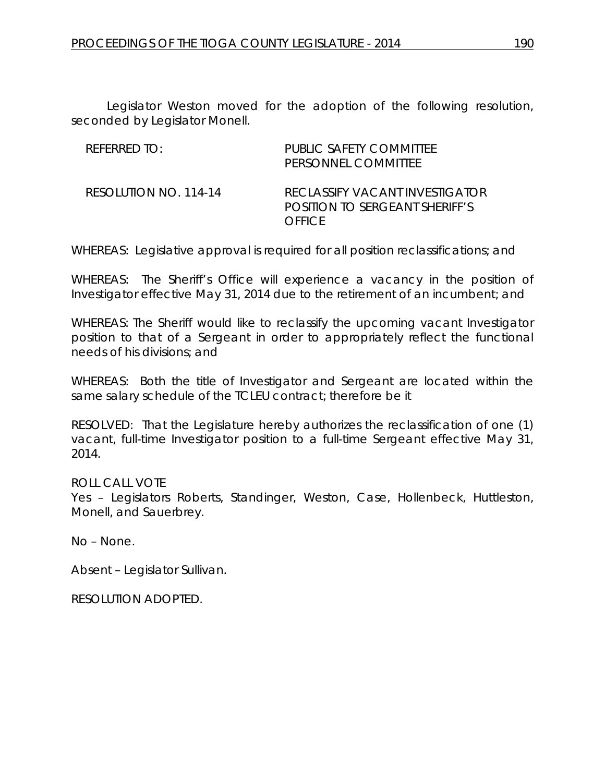Legislator Weston moved for the adoption of the following resolution, seconded by Legislator Monell.

| REFERRED TO:          | PUBLIC SAFETY COMMITTEE<br>PERSONNEL COMMITTEE                                    |
|-----------------------|-----------------------------------------------------------------------------------|
| RESOLUTION NO. 114-14 | RECLASSIFY VACANT INVESTIGATOR<br>POSITION TO SERGEANT SHERIFF'S<br><b>OFFICE</b> |

WHEREAS: Legislative approval is required for all position reclassifications; and

WHEREAS: The Sheriff's Office will experience a vacancy in the position of Investigator effective May 31, 2014 due to the retirement of an incumbent; and

WHEREAS: The Sheriff would like to reclassify the upcoming vacant Investigator position to that of a Sergeant in order to appropriately reflect the functional needs of his divisions; and

WHEREAS: Both the title of Investigator and Sergeant are located within the same salary schedule of the TCLEU contract; therefore be it

RESOLVED: That the Legislature hereby authorizes the reclassification of one (1) vacant, full-time Investigator position to a full-time Sergeant effective May 31, 2014.

### ROLL CALL VOTE

Yes – Legislators Roberts, Standinger, Weston, Case, Hollenbeck, Huttleston, Monell, and Sauerbrey.

No – None.

Absent – Legislator Sullivan.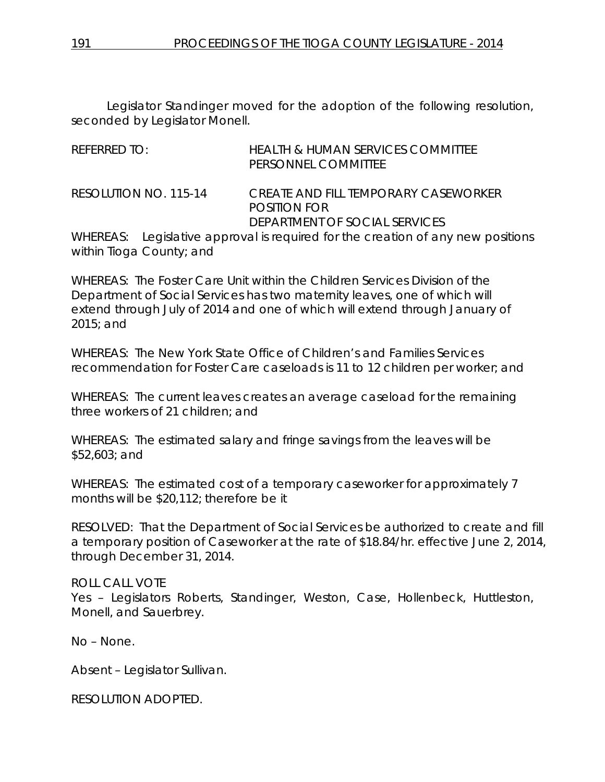Legislator Standinger moved for the adoption of the following resolution, seconded by Legislator Monell.

| REFERRED TO: |                       | <b>HEALTH &amp; HUMAN SERVICES COMMITTEE</b><br>PERSONNEL COMMITTEE             |
|--------------|-----------------------|---------------------------------------------------------------------------------|
|              | RESOLUTION NO. 115-14 | <i>CREATE AND FILL TEMPORARY CASEWORKER</i><br><b>POSITION FOR</b>              |
|              |                       | DEPARTMENT OF SOCIAL SERVICES                                                   |
|              |                       | WHEREAS: Legislative approval is required for the creation of any new positions |

within Tioga County; and

WHEREAS: The Foster Care Unit within the Children Services Division of the Department of Social Services has two maternity leaves, one of which will extend through July of 2014 and one of which will extend through January of 2015; and

WHEREAS: The New York State Office of Children's and Families Services recommendation for Foster Care caseloads is 11 to 12 children per worker; and

WHEREAS: The current leaves creates an average caseload for the remaining three workers of 21 children; and

WHEREAS: The estimated salary and fringe savings from the leaves will be \$52,603; and

WHEREAS: The estimated cost of a temporary caseworker for approximately 7 months will be \$20,112; therefore be it

RESOLVED: That the Department of Social Services be authorized to create and fill a temporary position of Caseworker at the rate of \$18.84/hr. effective June 2, 2014, through December 31, 2014.

# ROLL CALL VOTE

Yes – Legislators Roberts, Standinger, Weston, Case, Hollenbeck, Huttleston, Monell, and Sauerbrey.

No – None.

Absent – Legislator Sullivan.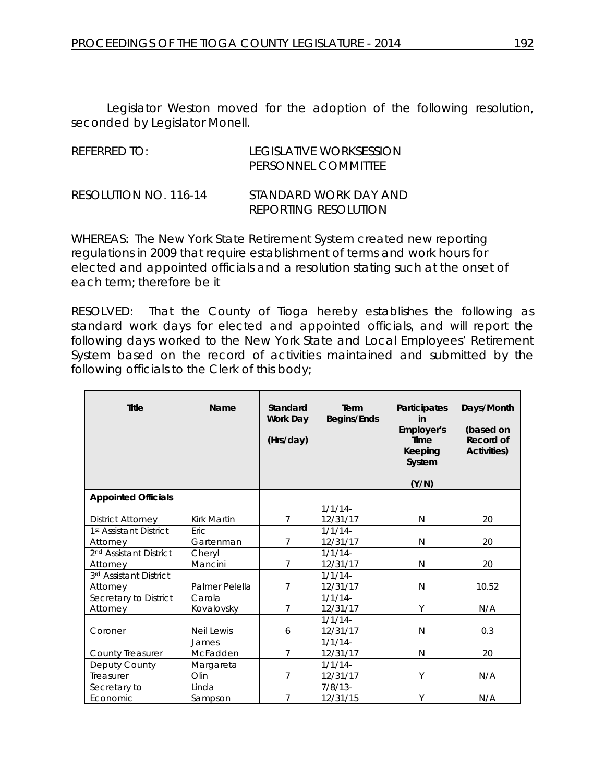Legislator Weston moved for the adoption of the following resolution, seconded by Legislator Monell.

| REFERRED TO:          | LEGISLATIVE WORKSESSION<br>PERSONNEL COMMITTEE       |
|-----------------------|------------------------------------------------------|
| RESOLUTION NO. 116-14 | STANDARD WORK DAY AND<br><b>REPORTING RESOLUTION</b> |

WHEREAS: The New York State Retirement System created new reporting regulations in 2009 that require establishment of terms and work hours for elected and appointed officials and a resolution stating such at the onset of each term; therefore be it

RESOLVED: That the County of Tioga hereby establishes the following as standard work days for elected and appointed officials, and will report the following days worked to the New York State and Local Employees' Retirement System based on the record of activities maintained and submitted by the following officials to the Clerk of this body;

| <b>Title</b>                                   | Name                     | Standard<br>Work Day<br>(Hrs/day) | Term<br><b>Begins/Ends</b> | Participates<br>in<br>Employer's<br><b>Time</b><br>Keeping<br>System<br>(Y/N) | Days/Month<br>(based on<br>Record of<br><b>Activities)</b> |
|------------------------------------------------|--------------------------|-----------------------------------|----------------------------|-------------------------------------------------------------------------------|------------------------------------------------------------|
| <b>Appointed Officials</b>                     |                          |                                   |                            |                                                                               |                                                            |
| <b>District Attorney</b>                       | Kirk Martin              | 7                                 | 1/1/14<br>12/31/17         | N                                                                             | 20                                                         |
| 1 <sup>st</sup> Assistant District<br>Attorney | <b>Eric</b><br>Gartenman | 7                                 | 1/1/14<br>12/31/17         | N                                                                             | 20                                                         |
| 2 <sup>nd</sup> Assistant District<br>Attorney | Cheryl<br>Mancini        | 7                                 | 1/1/14<br>12/31/17         | N                                                                             | 20                                                         |
| 3rd Assistant District<br>Attorney             | Palmer Pelella           | $\overline{7}$                    | 1/1/14<br>12/31/17         | N                                                                             | 10.52                                                      |
| Secretary to District<br>Attorney              | Carola<br>Kovalovsky     | 7                                 | 1/1/14<br>12/31/17         | Y                                                                             | N/A                                                        |
| Coroner                                        | <b>Neil Lewis</b>        | 6                                 | 1/1/14<br>12/31/17         | N                                                                             | 0.3                                                        |
| <b>County Treasurer</b>                        | James<br>McFadden        | 7                                 | 1/1/14<br>12/31/17         | N                                                                             | 20                                                         |
| Deputy County<br>Treasurer                     | Margareta<br>Olin        | 7                                 | 1/1/14<br>12/31/17         | Υ                                                                             | N/A                                                        |
| Secretary to<br>Economic                       | Linda<br>Sampson         | 7                                 | $7/8/13$ -<br>12/31/15     | Y                                                                             | N/A                                                        |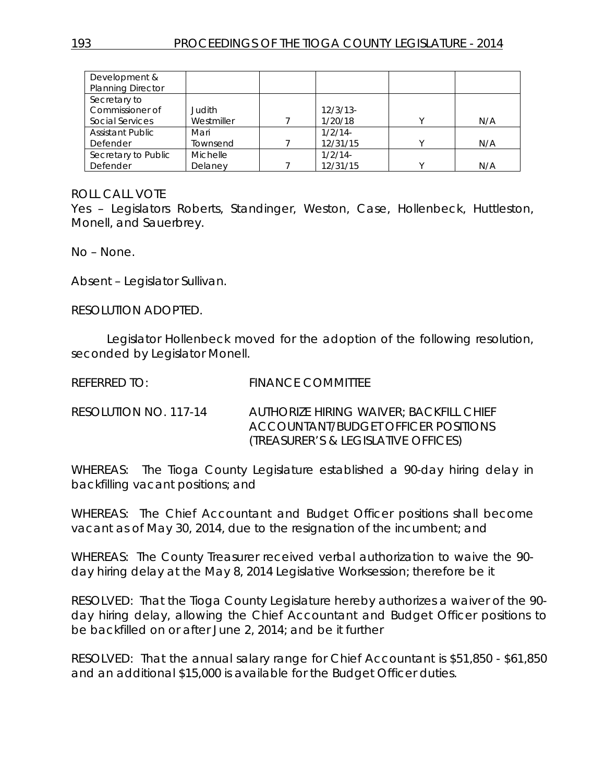| Development &            |                 |             |   |     |
|--------------------------|-----------------|-------------|---|-----|
| <b>Planning Director</b> |                 |             |   |     |
| Secretary to             |                 |             |   |     |
| Commissioner of          | Judith          | $12/3/13$ - |   |     |
| Social Services          | Westmiller      | 1/20/18     |   | N/A |
| <b>Assistant Public</b>  | Mari            | 1/2/14      |   |     |
| Defender                 | Townsend        | 12/31/15    | v | N/A |
| Secretary to Public      | <b>Michelle</b> | 1/2/14      |   |     |
| Defender                 | Delaney         | 12/31/15    |   | N/A |

Yes – Legislators Roberts, Standinger, Weston, Case, Hollenbeck, Huttleston, Monell, and Sauerbrey.

No – None.

Absent – Legislator Sullivan.

RESOLUTION ADOPTED.

Legislator Hollenbeck moved for the adoption of the following resolution, seconded by Legislator Monell.

REFERRED TO: FINANCE COMMITTEE

RESOLUTION NO. 117-14 *AUTHORIZE HIRING WAIVER; BACKFILL CHIEF ACCOUNTANT/BUDGET OFFICER POSITIONS (TREASURER'S & LEGISLATIVE OFFICES)*

WHEREAS: The Tioga County Legislature established a 90-day hiring delay in backfilling vacant positions; and

WHEREAS: The Chief Accountant and Budget Officer positions shall become vacant as of May 30, 2014, due to the resignation of the incumbent; and

WHEREAS: The County Treasurer received verbal authorization to waive the 90 day hiring delay at the May 8, 2014 Legislative Worksession; therefore be it

RESOLVED: That the Tioga County Legislature hereby authorizes a waiver of the 90 day hiring delay, allowing the Chief Accountant and Budget Officer positions to be backfilled on or after June 2, 2014; and be it further

RESOLVED: That the annual salary range for Chief Accountant is \$51,850 - \$61,850 and an additional \$15,000 is available for the Budget Officer duties.